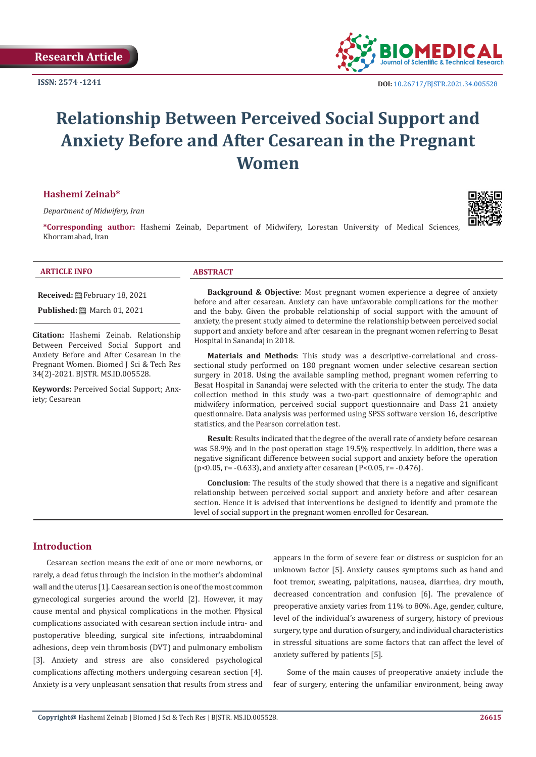**ISSN: 2574 -1241**



 **DOI:** [10.26717/BJSTR.2021.34.0055](http://dx.doi.org/10.26717/BJSTR.2021.34.005528)28

# **Relationship Between Perceived Social Support and Anxiety Before and After Cesarean in the Pregnant Women**

#### **Hashemi Zeinab\***

*Department of Midwifery, Iran*

**\*Corresponding author:** Hashemi Zeinab, Department of Midwifery, Lorestan University of Medical Sciences, Khorramabad, Iran



#### **ARTICLE INFO ABSTRACT**

**Received:** February 18, 2021

**Published:** ■ March 01, 2021

**Citation:** Hashemi Zeinab. Relationship Between Perceived Social Support and Anxiety Before and After Cesarean in the Pregnant Women. Biomed J Sci & Tech Res 34(2)-2021. BJSTR. MS.ID.005528.

**Keywords:** Perceived Social Support; Anxiety; Cesarean

**Background & Objective**: Most pregnant women experience a degree of anxiety before and after cesarean. Anxiety can have unfavorable complications for the mother and the baby. Given the probable relationship of social support with the amount of anxiety, the present study aimed to determine the relationship between perceived social support and anxiety before and after cesarean in the pregnant women referring to Besat Hospital in Sanandaj in 2018.

**Materials and Methods**: This study was a descriptive-correlational and crosssectional study performed on 180 pregnant women under selective cesarean section surgery in 2018. Using the available sampling method, pregnant women referring to Besat Hospital in Sanandaj were selected with the criteria to enter the study. The data collection method in this study was a two-part questionnaire of demographic and midwifery information, perceived social support questionnaire and Dass 21 anxiety questionnaire. Data analysis was performed using SPSS software version 16, descriptive statistics, and the Pearson correlation test.

**Result**: Results indicated that the degree of the overall rate of anxiety before cesarean was 58.9% and in the post operation stage 19.5% respectively. In addition, there was a negative significant difference between social support and anxiety before the operation  $(p<0.05, r=-0.633)$ , and anxiety after cesarean  $(P<0.05, r=-0.476)$ .

**Conclusion**: The results of the study showed that there is a negative and significant relationship between perceived social support and anxiety before and after cesarean section. Hence it is advised that interventions be designed to identify and promote the level of social support in the pregnant women enrolled for Cesarean.

# **Introduction**

Cesarean section means the exit of one or more newborns, or rarely, a dead fetus through the incision in the mother's abdominal wall and the uterus [1]. Caesarean section is one of the most common gynecological surgeries around the world [2]. However, it may cause mental and physical complications in the mother. Physical complications associated with cesarean section include intra- and postoperative bleeding, surgical site infections, intraabdominal adhesions, deep vein thrombosis (DVT) and pulmonary embolism [3]. Anxiety and stress are also considered psychological complications affecting mothers undergoing cesarean section [4]. Anxiety is a very unpleasant sensation that results from stress and appears in the form of severe fear or distress or suspicion for an unknown factor [5]. Anxiety causes symptoms such as hand and foot tremor, sweating, palpitations, nausea, diarrhea, dry mouth, decreased concentration and confusion [6]. The prevalence of preoperative anxiety varies from 11% to 80%. Age, gender, culture, level of the individual's awareness of surgery, history of previous surgery, type and duration of surgery, and individual characteristics in stressful situations are some factors that can affect the level of anxiety suffered by patients [5].

Some of the main causes of preoperative anxiety include the fear of surgery, entering the unfamiliar environment, being away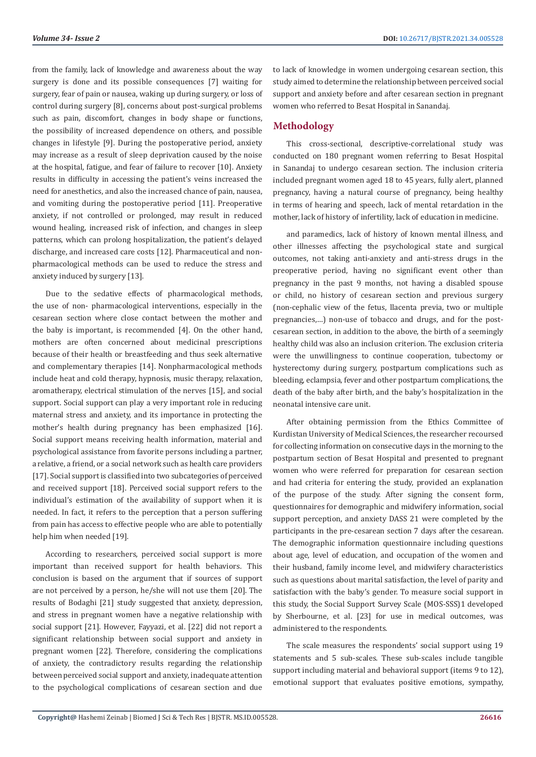from the family, lack of knowledge and awareness about the way surgery is done and its possible consequences [7] waiting for surgery, fear of pain or nausea, waking up during surgery, or loss of control during surgery [8], concerns about post-surgical problems such as pain, discomfort, changes in body shape or functions, the possibility of increased dependence on others, and possible changes in lifestyle [9]. During the postoperative period, anxiety may increase as a result of sleep deprivation caused by the noise at the hospital, fatigue, and fear of failure to recover [10]. Anxiety results in difficulty in accessing the patient's veins increased the need for anesthetics, and also the increased chance of pain, nausea, and vomiting during the postoperative period [11]. Preoperative anxiety, if not controlled or prolonged, may result in reduced wound healing, increased risk of infection, and changes in sleep patterns, which can prolong hospitalization, the patient's delayed discharge, and increased care costs [12]. Pharmaceutical and nonpharmacological methods can be used to reduce the stress and anxiety induced by surgery [13].

Due to the sedative effects of pharmacological methods, the use of non- pharmacological interventions, especially in the cesarean section where close contact between the mother and the baby is important, is recommended [4]. On the other hand, mothers are often concerned about medicinal prescriptions because of their health or breastfeeding and thus seek alternative and complementary therapies [14]. Nonpharmacological methods include heat and cold therapy, hypnosis, music therapy, relaxation, aromatherapy, electrical stimulation of the nerves [15], and social support. Social support can play a very important role in reducing maternal stress and anxiety, and its importance in protecting the mother's health during pregnancy has been emphasized [16]. Social support means receiving health information, material and psychological assistance from favorite persons including a partner, a relative, a friend, or a social network such as health care providers [17]. Social support is classified into two subcategories of perceived and received support [18]. Perceived social support refers to the individual's estimation of the availability of support when it is needed. In fact, it refers to the perception that a person suffering from pain has access to effective people who are able to potentially help him when needed [19].

According to researchers, perceived social support is more important than received support for health behaviors. This conclusion is based on the argument that if sources of support are not perceived by a person, he/she will not use them [20]. The results of Bodaghi [21] study suggested that anxiety, depression, and stress in pregnant women have a negative relationship with social support [21]. However, Fayyazi, et al. [22] did not report a significant relationship between social support and anxiety in pregnant women [22]. Therefore, considering the complications of anxiety, the contradictory results regarding the relationship between perceived social support and anxiety, inadequate attention to the psychological complications of cesarean section and due

to lack of knowledge in women undergoing cesarean section, this study aimed to determine the relationship between perceived social support and anxiety before and after cesarean section in pregnant women who referred to Besat Hospital in Sanandaj.

### **Methodology**

This cross-sectional, descriptive-correlational study was conducted on 180 pregnant women referring to Besat Hospital in Sanandaj to undergo cesarean section. The inclusion criteria included pregnant women aged 18 to 45 years, fully alert, planned pregnancy, having a natural course of pregnancy, being healthy in terms of hearing and speech, lack of mental retardation in the mother, lack of history of infertility, lack of education in medicine.

and paramedics, lack of history of known mental illness, and other illnesses affecting the psychological state and surgical outcomes, not taking anti-anxiety and anti-stress drugs in the preoperative period, having no significant event other than pregnancy in the past 9 months, not having a disabled spouse or child, no history of cesarean section and previous surgery (non-cephalic view of the fetus, llacenta previa, two or multiple pregnancies,…) non-use of tobacco and drugs, and for the postcesarean section, in addition to the above, the birth of a seemingly healthy child was also an inclusion criterion. The exclusion criteria were the unwillingness to continue cooperation, tubectomy or hysterectomy during surgery, postpartum complications such as bleeding, eclampsia, fever and other postpartum complications, the death of the baby after birth, and the baby's hospitalization in the neonatal intensive care unit.

After obtaining permission from the Ethics Committee of Kurdistan University of Medical Sciences, the researcher recoursed for collecting information on consecutive days in the morning to the postpartum section of Besat Hospital and presented to pregnant women who were referred for preparation for cesarean section and had criteria for entering the study, provided an explanation of the purpose of the study. After signing the consent form, questionnaires for demographic and midwifery information, social support perception, and anxiety DASS 21 were completed by the participants in the pre-cesarean section 7 days after the cesarean. The demographic information questionnaire including questions about age, level of education, and occupation of the women and their husband, family income level, and midwifery characteristics such as questions about marital satisfaction, the level of parity and satisfaction with the baby's gender. To measure social support in this study, the Social Support Survey Scale (MOS-SSS)1 developed by Sherbourne, et al. [23] for use in medical outcomes, was administered to the respondents.

The scale measures the respondents' social support using 19 statements and 5 sub-scales. These sub-scales include tangible support including material and behavioral support (items 9 to 12), emotional support that evaluates positive emotions, sympathy,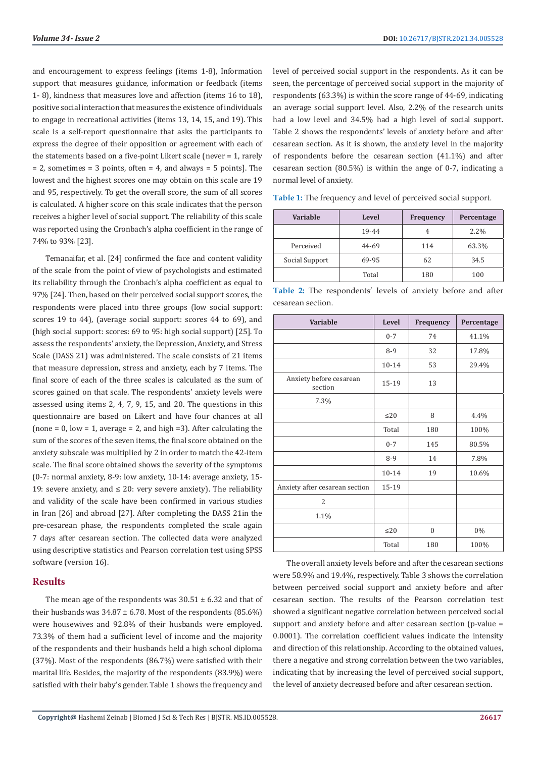and encouragement to express feelings (items 1-8), Information support that measures guidance, information or feedback (items 1- 8), kindness that measures love and affection (items 16 to 18), positive social interaction that measures the existence of individuals to engage in recreational activities (items 13, 14, 15, and 19). This scale is a self-report questionnaire that asks the participants to express the degree of their opposition or agreement with each of the statements based on a five-point Likert scale (never = 1, rarely  $= 2$ , sometimes  $= 3$  points, often  $= 4$ , and always  $= 5$  points]. The lowest and the highest scores one may obtain on this scale are 19 and 95, respectively. To get the overall score, the sum of all scores is calculated. A higher score on this scale indicates that the person receives a higher level of social support. The reliability of this scale was reported using the Cronbach's alpha coefficient in the range of 74% to 93% [23].

Temanaifar, et al. [24] confirmed the face and content validity of the scale from the point of view of psychologists and estimated its reliability through the Cronbach's alpha coefficient as equal to 97% [24]. Then, based on their perceived social support scores, the respondents were placed into three groups (low social support: scores 19 to 44), (average social support: scores 44 to 69), and (high social support: scores: 69 to 95: high social support) [25]. To assess the respondents' anxiety, the Depression, Anxiety, and Stress Scale (DASS 21) was administered. The scale consists of 21 items that measure depression, stress and anxiety, each by 7 items. The final score of each of the three scales is calculated as the sum of scores gained on that scale. The respondents' anxiety levels were assessed using items 2, 4, 7, 9, 15, and 20. The questions in this questionnaire are based on Likert and have four chances at all (none =  $0$ , low =  $1$ , average =  $2$ , and high =  $3$ ). After calculating the sum of the scores of the seven items, the final score obtained on the anxiety subscale was multiplied by 2 in order to match the 42-item scale. The final score obtained shows the severity of the symptoms (0-7: normal anxiety, 8-9: low anxiety, 10-14: average anxiety, 15- 19: severe anxiety, and  $\leq$  20: very severe anxiety). The reliability and validity of the scale have been confirmed in various studies in Iran [26] and abroad [27]. After completing the DASS 21in the pre-cesarean phase, the respondents completed the scale again 7 days after cesarean section. The collected data were analyzed using descriptive statistics and Pearson correlation test using SPSS software (version 16).

# **Results**

The mean age of the respondents was  $30.51 \pm 6.32$  and that of their husbands was  $34.87 \pm 6.78$ . Most of the respondents (85.6%) were housewives and 92.8% of their husbands were employed. 73.3% of them had a sufficient level of income and the majority of the respondents and their husbands held a high school diploma (37%). Most of the respondents (86.7%) were satisfied with their marital life. Besides, the majority of the respondents (83.9%) were satisfied with their baby's gender. Table 1 shows the frequency and

level of perceived social support in the respondents. As it can be seen, the percentage of perceived social support in the majority of respondents (63.3%) is within the score range of 44-69, indicating an average social support level. Also, 2.2% of the research units had a low level and 34.5% had a high level of social support. Table 2 shows the respondents' levels of anxiety before and after cesarean section. As it is shown, the anxiety level in the majority of respondents before the cesarean section (41.1%) and after cesarean section (80.5%) is within the ange of 0-7, indicating a normal level of anxiety.

**Table 1:** The frequency and level of perceived social support.

| Variable       | <b>Level</b> | Frequency | Percentage |  |
|----------------|--------------|-----------|------------|--|
|                | 19-44        |           | $2.2\%$    |  |
| Perceived      | 44-69        | 114       | 63.3%      |  |
| Social Support | 69-95        | 62        | 34.5       |  |
|                | Total        | 180       | 100        |  |

|                   |  | Table 2: The respondents' levels of anxiety before and after |  |  |  |
|-------------------|--|--------------------------------------------------------------|--|--|--|
| cesarean section. |  |                                                              |  |  |  |

| Variable                           | Level     | Frequency    | Percentage |
|------------------------------------|-----------|--------------|------------|
|                                    | $0 - 7$   | 74           | 41.1%      |
|                                    | $8-9$     | 32           | 17.8%      |
|                                    | 10-14     | 53           | 29.4%      |
| Anxiety before cesarean<br>section | 15-19     | 13           |            |
| 7.3%                               |           |              |            |
|                                    | $\leq$ 20 | 8            | 4.4%       |
|                                    | Total     | 180          | 100%       |
|                                    | $0 - 7$   | 145          | 80.5%      |
|                                    | $8-9$     | 14           | 7.8%       |
|                                    | 10-14     | 19           | 10.6%      |
| Anxiety after cesarean section     | 15-19     |              |            |
| 2                                  |           |              |            |
| 1.1%                               |           |              |            |
|                                    | $\leq$ 20 | $\mathbf{0}$ | $0\%$      |
|                                    | Total     | 180          | 100%       |

The overall anxiety levels before and after the cesarean sections were 58.9% and 19.4%, respectively. Table 3 shows the correlation between perceived social support and anxiety before and after cesarean section. The results of the Pearson correlation test showed a significant negative correlation between perceived social support and anxiety before and after cesarean section (p-value = 0.0001). The correlation coefficient values indicate the intensity and direction of this relationship. According to the obtained values, there a negative and strong correlation between the two variables, indicating that by increasing the level of perceived social support, the level of anxiety decreased before and after cesarean section.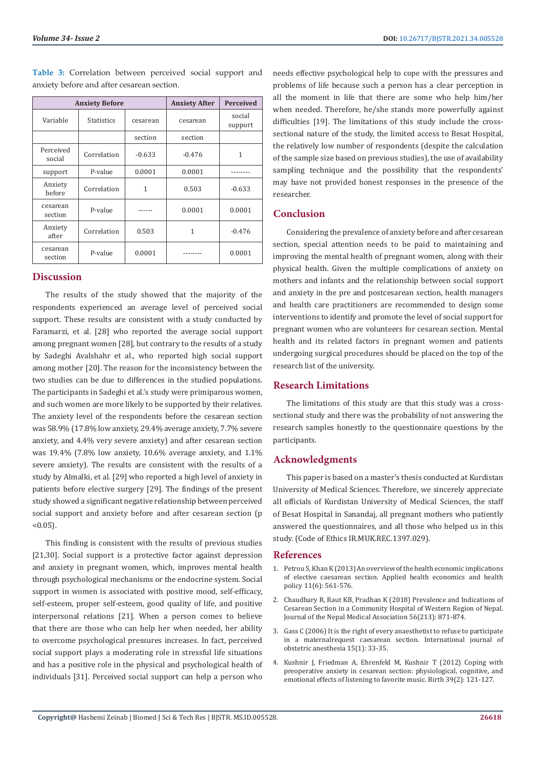|                     | <b>Anxiety Before</b>     | <b>Anxiety After</b> | <b>Perceived</b> |                   |
|---------------------|---------------------------|----------------------|------------------|-------------------|
| Variable            | <b>Statistics</b>         | cesarean             | cesarean         | social<br>support |
|                     |                           | section              | section          |                   |
| Perceived<br>social | Correlation               | $-0.633$             | $-0.476$         | 1                 |
| support             | P-value                   | 0.0001               | 0.0001           |                   |
| Anxiety<br>before   | Correlation               | 1                    | 0.503            | $-0.633$          |
| cesarean<br>section | P-value                   |                      | 0.0001           | 0.0001            |
| Anxiety<br>after    | Correlation<br>0.503<br>1 |                      |                  | $-0.476$          |
| cesarean<br>section | P-value                   | 0.0001               |                  | 0.0001            |

**Table 3:** Correlation between perceived social support and anxiety before and after cesarean section.

# **Discussion**

The results of the study showed that the majority of the respondents experienced an average level of perceived social support. These results are consistent with a study conducted by Faramarzi, et al. [28] who reported the average social support among pregnant women [28], but contrary to the results of a study by Sadeghi Avalshahr et al., who reported high social support among mother [20]. The reason for the inconsistency between the two studies can be due to differences in the studied populations. The participants in Sadeghi et al.'s study were primiparous women, and such women are more likely to be supported by their relatives. The anxiety level of the respondents before the cesarean section was 58.9% (17.8% low anxiety, 29.4% average anxiety, 7.7% severe anxiety, and 4.4% very severe anxiety) and after cesarean section was 19.4% (7.8% low anxiety, 10.6% average anxiety, and 1.1% severe anxiety). The results are consistent with the results of a study by Almalki, et al. [29] who reported a high level of anxiety in patients before elective surgery [29]. The findings of the present study showed a significant negative relationship between perceived social support and anxiety before and after cesarean section (p  $< 0.05$ ).

This finding is consistent with the results of previous studies [21,30]. Social support is a protective factor against depression and anxiety in pregnant women, which, improves mental health through psychological mechanisms or the endocrine system. Social support in women is associated with positive mood, self-efficacy, self-esteem, proper self-esteem, good quality of life, and positive interpersonal relations [21]. When a person comes to believe that there are those who can help her when needed, her ability to overcome psychological pressures increases. In fact, perceived social support plays a moderating role in stressful life situations and has a positive role in the physical and psychological health of individuals [31]. Perceived social support can help a person who

needs effective psychological help to cope with the pressures and problems of life because such a person has a clear perception in all the moment in life that there are some who help him/her when needed. Therefore, he/she stands more powerfully against difficulties [19]. The limitations of this study include the crosssectional nature of the study, the limited access to Besat Hospital, the relatively low number of respondents (despite the calculation of the sample size based on previous studies), the use of availability sampling technique and the possibility that the respondents' may have not provided honest responses in the presence of the researcher.

# **Conclusion**

Considering the prevalence of anxiety before and after cesarean section, special attention needs to be paid to maintaining and improving the mental health of pregnant women, along with their physical health. Given the multiple complications of anxiety on mothers and infants and the relationship between social support and anxiety in the pre and postcesarean section, health managers and health care practitioners are recommended to design some interventions to identify and promote the level of social support for pregnant women who are volunteers for cesarean section. Mental health and its related factors in pregnant women and patients undergoing surgical procedures should be placed on the top of the research list of the university.

# **Research Limitations**

The limitations of this study are that this study was a crosssectional study and there was the probability of not answering the research samples honestly to the questionnaire questions by the participants.

# **Acknowledgments**

This paper is based on a master's thesis conducted at Kurdistan University of Medical Sciences. Therefore, we sincerely appreciate all officials of Kurdistan University of Medical Sciences, the staff of Besat Hospital in Sanandaj, all pregnant mothers who patiently answered the questionnaires, and all those who helped us in this study. (Code of Ethics IR.MUK.REC.1397.029).

#### **References**

- 1. [Petrou S, Khan K \(2013\) An overview of the health economic implications](https://pubmed.ncbi.nlm.nih.gov/24155076/) [of elective caesarean section. Applied health economics and health](https://pubmed.ncbi.nlm.nih.gov/24155076/) [policy 11\(6\): 561-576.](https://pubmed.ncbi.nlm.nih.gov/24155076/)
- 2. Chaudhary R, Raut KB, Pradhan K (2018) Prevalence and Indications of Cesarean Section in a Community Hospital of Western Region of Nepal. Journal of the Nepal Medical Association 56(213): 871-874.
- 3. [Gass C \(2006\) It is the right of every anaesthetist to refuse to participate](https://pubmed.ncbi.nlm.nih.gov/16325387/) [in a maternalrequest caesarean section. International journal of](https://pubmed.ncbi.nlm.nih.gov/16325387/) [obstetric anesthesia 15\(1\): 33-35.](https://pubmed.ncbi.nlm.nih.gov/16325387/)
- 4. Kushnir J, Friedman A, Ehrenfeld M, Kushnir T (2012) Coping with preoperative anxiety in cesarean section: physiological, cognitive, and emotional effects of listening to favorite music. Birth 39(2): 121-127.